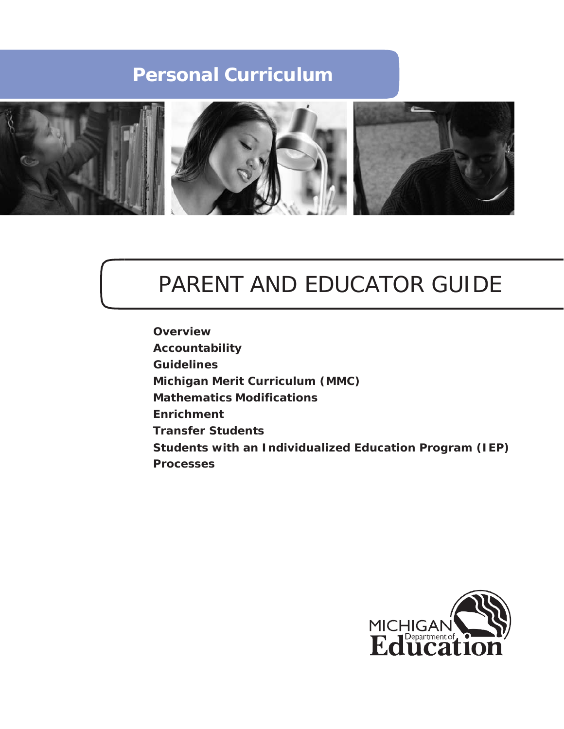

# PARENT AND EDUCATOR GUIDE

**Overview Accountability Guidelines Michigan Merit Curriculum (MMC) Mathematics Modifications Enrichment Transfer Students Students with an Individualized Education Program (IEP) Processes**

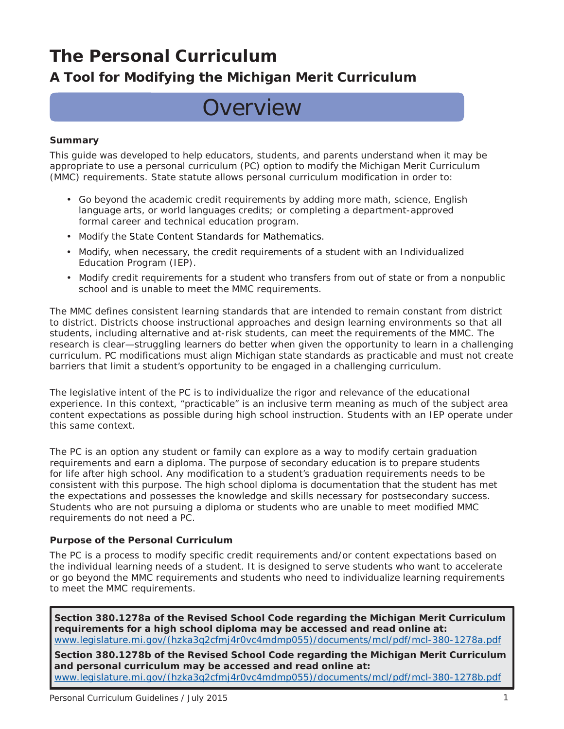## **A Tool for Modifying the Michigan Merit Curriculum**

# **Overview**

### **Summary**

This guide was developed to help educators, students, and parents understand when it may be appropriate to use a personal curriculum (PC) option to modify the Michigan Merit Curriculum (MMC) requirements. State statute allows personal curriculum modification in order to:

- Go beyond the academic credit requirements by adding more math, science, English language arts, or world languages credits; or completing a department-approved formal career and technical education program.
- Modify the State Content Standards for Mathematics.
- Modify, when necessary, the credit requirements of a student with an Individualized Education Program (IEP).
- Modify credit requirements for a student who transfers from out of state or from a nonpublic school and is unable to meet the MMC requirements.

The MMC defines consistent learning standards that are intended to remain constant from district to district. Districts choose instructional approaches and design learning environments so that all students, including alternative and at-risk students, can meet the requirements of the MMC. The research is clear—struggling learners do better when given the opportunity to learn in a challenging curriculum. PC modifications must align Michigan state standards as practicable and must not create barriers that limit a student's opportunity to be engaged in a challenging curriculum.

The legislative intent of the PC is to individualize the rigor and relevance of the educational experience. In this context, "practicable" is an inclusive term meaning as much of the subject area content expectations as possible during high school instruction. Students with an IEP operate under this same context.

The PC is an option any student or family can explore as a way to modify certain graduation requirements and earn a diploma. The purpose of secondary education is to prepare students for life after high school. Any modification to a student's graduation requirements needs to be consistent with this purpose. The high school diploma is documentation that the student has met the expectations and possesses the knowledge and skills necessary for postsecondary success. Students who are not pursuing a diploma or students who are unable to meet modified MMC requirements do not need a PC.

### **Purpose of the Personal Curriculum**

The PC is a process to modify specific credit requirements and/or content expectations based on the individual learning needs of a student. It is designed to serve students who want to accelerate or go beyond the MMC requirements and students who need to individualize learning requirements to meet the MMC requirements.

**Section 380.1278a of the Revised School Code regarding the Michigan Merit Curriculum requirements for a high school diploma may be accessed and read online at:** [www.legislature.mi.gov/\(hzka3q2cfmj4r0vc4mdmp055\)/documents/mcl/pdf/mcl-380-1278a.pdf](http://www.legislature.mi.gov/(hzka3q2cfmj4r0vc4mdmp055)/documents/mcl/pdf/mcl-380-1278a.pdf)

**Section 380.1278b of the Revised School Code regarding the Michigan Merit Curriculum and personal curriculum may be accessed and read online at:** [www.legislature.mi.gov/\(hzka3q2cfmj4r0vc4mdmp055\)/documents/mcl/pdf/mcl-380-1278b.pdf](http://www.legislature.mi.gov/(hzka3q2cfmj4r0vc4mdmp055)/documents/mcl/pdf/mcl-380-1278b.pdf)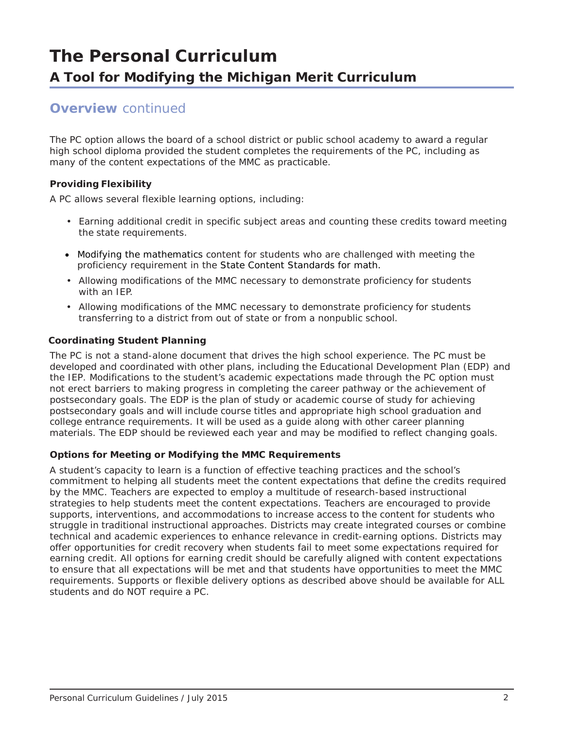### **Overview** *continued*

The PC option allows the board of a school district or public school academy to award a regular high school diploma provided the student completes the requirements of the PC, including as many of the content expectations of the MMC as practicable.

### **Providing Flexibility**

A PC allows several flexible learning options, including:

- Earning additional credit in specific subject areas and counting these credits toward meeting the state requirements.
- Modifying the mathematics content for students who are challenged with meeting the proficiency requirement in the State Content Standards for math.
- Allowing modifications of the MMC necessary to demonstrate proficiency for students with an IEP.
- Allowing modifications of the MMC necessary to demonstrate proficiency for students transferring to a district from out of state or from a nonpublic school.

### **Coordinating Student Planning**

The PC is not a stand-alone document that drives the high school experience. The PC must be developed and coordinated with other plans, including the Educational Development Plan (EDP) and the IEP. Modifications to the student's academic expectations made through the PC option must not erect barriers to making progress in completing the career pathway or the achievement of postsecondary goals. The EDP is the plan of study or academic course of study for achieving postsecondary goals and will include course titles and appropriate high school graduation and college entrance requirements. It will be used as a guide along with other career planning materials. The EDP should be reviewed each year and may be modified to reflect changing goals.

### **Options for Meeting or Modifying the MMC Requirements**

A student's capacity to learn is a function of effective teaching practices and the school's commitment to helping all students meet the content expectations that define the credits required by the MMC. Teachers are expected to employ a multitude of research-based instructional strategies to help students meet the content expectations. Teachers are encouraged to provide supports, interventions, and accommodations to increase access to the content for students who struggle in traditional instructional approaches. Districts may create integrated courses or combine technical and academic experiences to enhance relevance in credit-earning options. Districts may offer opportunities for credit recovery when students fail to meet some expectations required for earning credit. All options for earning credit should be carefully aligned with content expectations to ensure that all expectations will be met and that students have opportunities to meet the MMC requirements. Supports or flexible delivery options as described above should be available for ALL students and do NOT require a PC.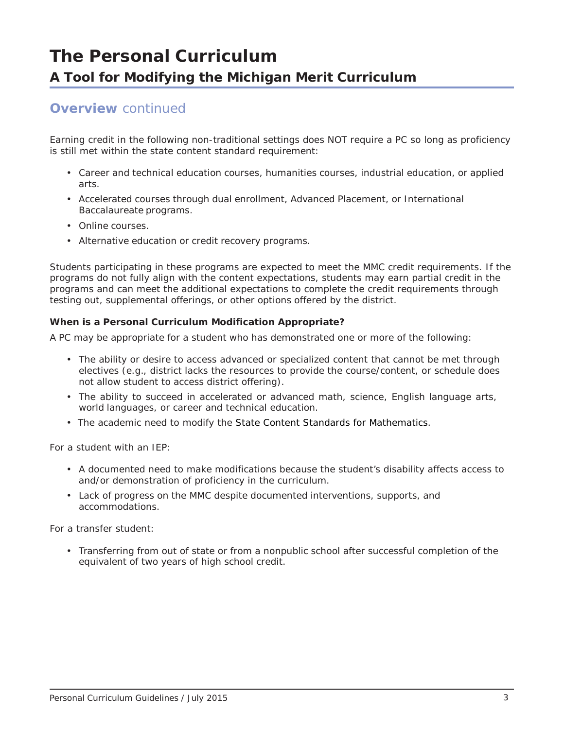### **Overview** *continued*

Earning credit in the following non-traditional settings does NOT require a PC so long as proficiency is still met within the state content standard requirement:

- Career and technical education courses, humanities courses, industrial education, or applied arts.
- Accelerated courses through dual enrollment, Advanced Placement, or International Baccalaureate programs.
- Online courses.
- Alternative education or credit recovery programs.

Students participating in these programs are expected to meet the MMC credit requirements. If the programs do not fully align with the content expectations, students may earn partial credit in the programs and can meet the additional expectations to complete the credit requirements through testing out, supplemental offerings, or other options offered by the district.

### **When is a Personal Curriculum Modification Appropriate?**

A PC may be appropriate for a student who has demonstrated one or more of the following:

- The ability or desire to access advanced or specialized content that cannot be met through electives (e.g., district lacks the resources to provide the course/content, or schedule does not allow student to access district offering).
- The ability to succeed in accelerated or advanced math, science, English language arts, world languages, or career and technical education.
- The academic need to modify the State Content Standards for Mathematics.

For a student with an IEP:

- A documented need to make modifications because the student's disability affects access to and/or demonstration of proficiency in the curriculum.
- Lack of progress on the MMC despite documented interventions, supports, and accommodations.

For a transfer student:

• Transferring from out of state or from a nonpublic school after successful completion of the equivalent of two years of high school credit.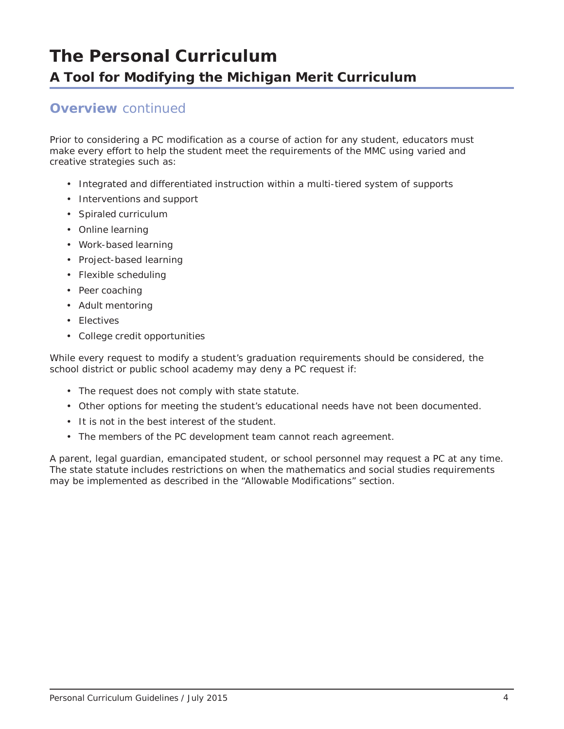### **Overview** *continued*

Prior to considering a PC modification as a course of action for any student, educators must make every effort to help the student meet the requirements of the MMC using varied and creative strategies such as:

- Integrated and differentiated instruction within a multi-tiered system of supports
- Interventions and support
- Spiraled curriculum
- Online learning
- Work-based learning
- Project-based learning
- Flexible scheduling
- Peer coaching
- Adult mentoring
- Electives
- College credit opportunities

While every request to modify a student's graduation requirements should be considered, the school district or public school academy may deny a PC request if:

- The request does not comply with state statute.
- Other options for meeting the student's educational needs have not been documented.
- It is not in the best interest of the student.
- The members of the PC development team cannot reach agreement.

A parent, legal guardian, emancipated student, or school personnel may request a PC at any time. The state statute includes restrictions on when the mathematics and social studies requirements may be implemented as described in the "Allowable Modifications" section.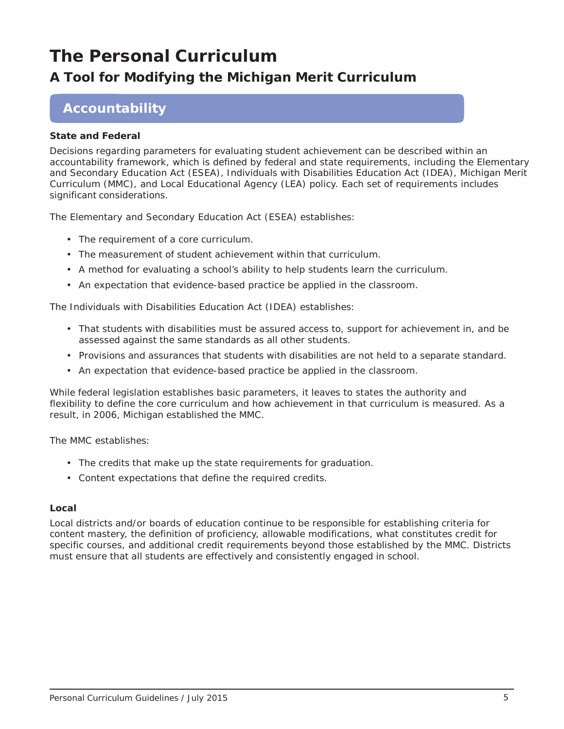## **A Tool for Modifying the Michigan Merit Curriculum**

## **Accountability**

### **State and Federal**

Decisions regarding parameters for evaluating student achievement can be described within an accountability framework, which is defined by federal and state requirements, including the *Elementary and Secondary Education Act (ESEA)*, *Individuals with Disabilities Education Act (IDEA),* Michigan Merit Curriculum (MMC), and Local Educational Agency (LEA) policy. Each set of requirements includes significant considerations.

*The Elementary and Secondary Education Act (ESEA)* establishes:

- The requirement of a core curriculum.
- The measurement of student achievement within that curriculum.
- A method for evaluating a school's ability to help students learn the curriculum.
- An expectation that evidence-based practice be applied in the classroom.

The *Individuals with Disabilities Education Act (IDEA)* establishes:

- That students with disabilities must be assured access to, support for achievement in, and be assessed against the same standards as all other students.
- Provisions and assurances that students with disabilities are not held to a separate standard.
- An expectation that evidence-based practice be applied in the classroom.

While federal legislation establishes basic parameters, it leaves to states the authority and flexibility to define the core curriculum and how achievement in that curriculum is measured. As a result, in 2006, Michigan established the MMC.

The MMC establishes:

- The credits that make up the state requirements for graduation.
- Content expectations that define the required credits.

### **Local**

Local districts and/or boards of education continue to be responsible for establishing criteria for content mastery, the definition of proficiency, allowable modifications, what constitutes credit for specific courses, and additional credit requirements beyond those established by the MMC. Districts must ensure that all students are effectively and consistently engaged in school.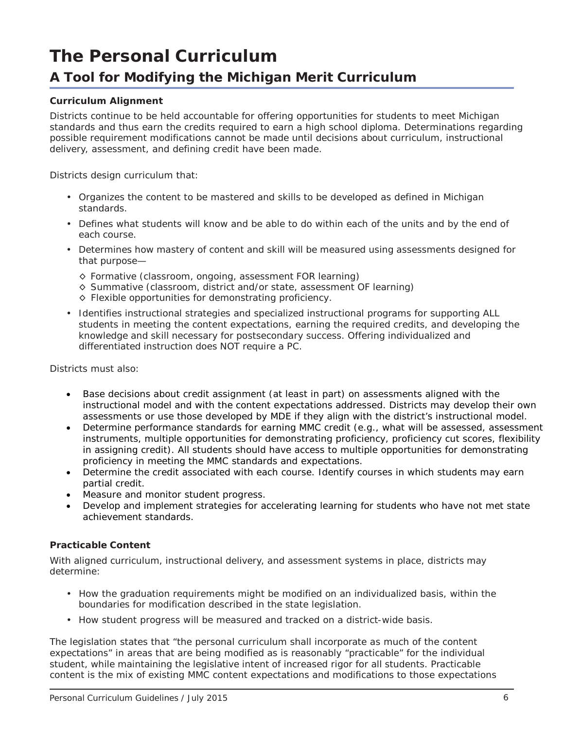## **A Tool for Modifying the Michigan Merit Curriculum**

### **Curriculum Alignment**

Districts continue to be held accountable for offering opportunities for students to meet Michigan standards and thus earn the credits required to earn a high school diploma. Determinations regarding possible requirement modifications cannot be made until decisions about curriculum, instructional delivery, assessment, and defining credit have been made.

Districts design curriculum that:

- Organizes the content to be mastered and skills to be developed as defined in Michigan standards.
- Defines what students will know and be able to do within each of the units and by the end of each course.
- Determines how mastery of content and skill will be measured using assessments designed for that purpose—
	- ◊ Formative (classroom, ongoing, assessment FOR learning)
	- ◊ Summative (classroom, district and/or state, assessment OF learning)
	- ◊ Flexible opportunities for demonstrating proficiency.
- Identifies instructional strategies and specialized instructional programs for supporting ALL students in meeting the content expectations, earning the required credits, and developing the knowledge and skill necessary for postsecondary success. Offering individualized and differentiated instruction does NOT require a PC.

Districts must also:

- Base decisions about credit assignment (at least in part) on assessments aligned with the instructional model and with the content expectations addressed. Districts may develop their own assessments or use those developed by MDE if they align with the district's instructional model.
- Determine performance standards for earning MMC credit (e.g., what will be assessed, assessment instruments, multiple opportunities for demonstrating proficiency, proficiency cut scores, flexibility in assigning credit). All students should have access to multiple opportunities for demonstrating proficiency in meeting the MMC standards and expectations.
- Determine the credit associated with each course. Identify courses in which students may earn partial credit.
- Measure and monitor student progress.
- Develop and implement strategies for accelerating learning for students who have not met state achievement standards.

### **Practicable Content**

With aligned curriculum, instructional delivery, and assessment systems in place, districts may determine:

- How the graduation requirements might be modified on an individualized basis, within the boundaries for modification described in the state legislation.
- How student progress will be measured and tracked on a district-wide basis.

The legislation states that "the personal curriculum shall incorporate as much of the content expectations" in areas that are being modified as is reasonably "practicable" for the individual student, while maintaining the legislative intent of increased rigor for all students. Practicable content is the mix of existing MMC content expectations and modifications to those expectations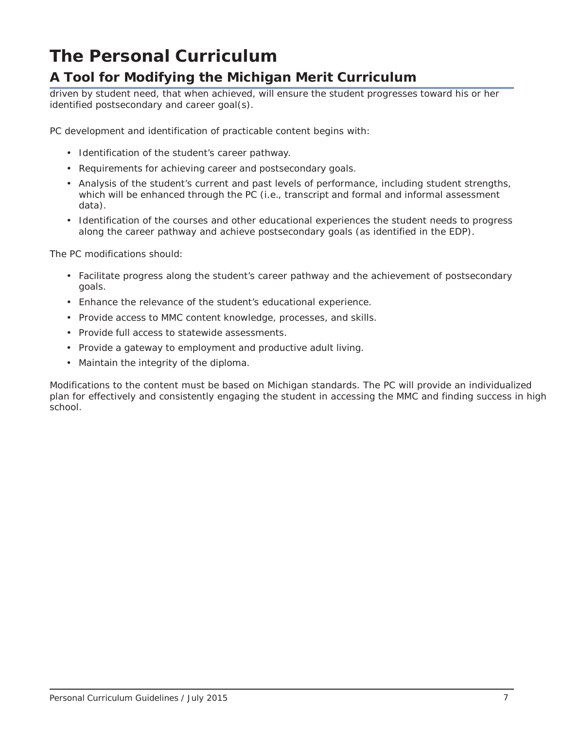## **A Tool for Modifying the Michigan Merit Curriculum**

driven by student need, that when achieved, will ensure the student progresses toward his or her identified postsecondary and career goal(s).

PC development and identification of practicable content begins with:

- Identification of the student's career pathway.
- Requirements for achieving career and postsecondary goals.
- Analysis of the student's current and past levels of performance, including student strengths, which will be enhanced through the PC (i.e., transcript and formal and informal assessment data).
- Identification of the courses and other educational experiences the student needs to progress along the career pathway and achieve postsecondary goals (as identified in the EDP).

The PC modifications should:

- Facilitate progress along the student's career pathway and the achievement of postsecondary goals.
- Enhance the relevance of the student's educational experience.
- Provide access to MMC content knowledge, processes, and skills.
- Provide full access to statewide assessments.
- Provide a gateway to employment and productive adult living.
- Maintain the integrity of the diploma.

Modifications to the content must be based on Michigan standards. The PC will provide an individualized plan for effectively and consistently engaging the student in accessing the MMC and finding success in high school.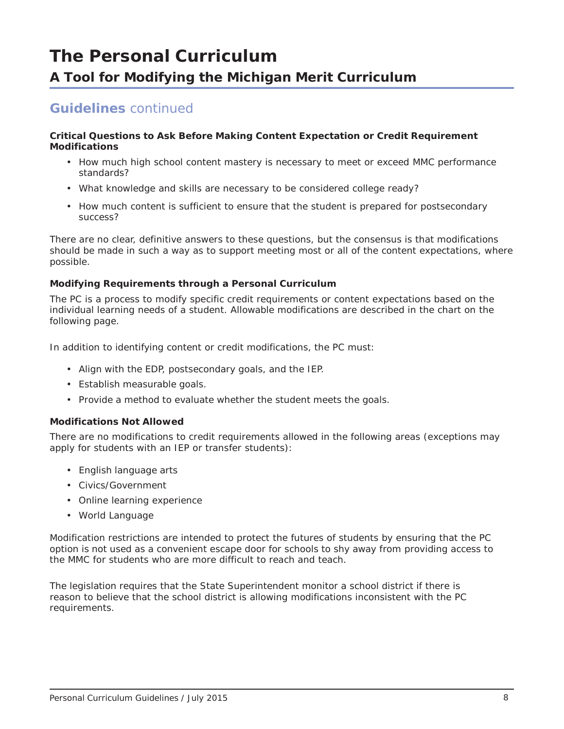## **Guidelines** *continued*

#### **Critical Questions to Ask Before Making Content Expectation or Credit Requirement Modifications**

- How much high school content mastery is necessary to meet or exceed MMC performance standards?
- What knowledge and skills are necessary to be considered college ready?
- How much content is sufficient to ensure that the student is prepared for postsecondary success?

There are no clear, definitive answers to these questions, but the consensus is that modifications should be made in such a way as to support meeting most or all of the content expectations, where possible.

### **Modifying Requirements through a Personal Curriculum**

The PC is a process to modify specific credit requirements or content expectations based on the individual learning needs of a student. Allowable modifications are described in the chart on the following page.

In addition to identifying content or credit modifications, the PC must:

- Align with the EDP, postsecondary goals, and the IEP.
- Establish measurable goals.
- Provide a method to evaluate whether the student meets the goals.

### **Modifications Not Allowed**

There are no modifications to credit requirements allowed in the following areas (exceptions may apply for students with an IEP or transfer students):

- English language arts
- Civics/Government
- Online learning experience
- World Language

Modification restrictions are intended to protect the futures of students by ensuring that the PC option is not used as a convenient escape door for schools to shy away from providing access to the MMC for students who are more difficult to reach and teach.

The legislation requires that the State Superintendent monitor a school district if there is reason to believe that the school district is allowing modifications inconsistent with the PC requirements.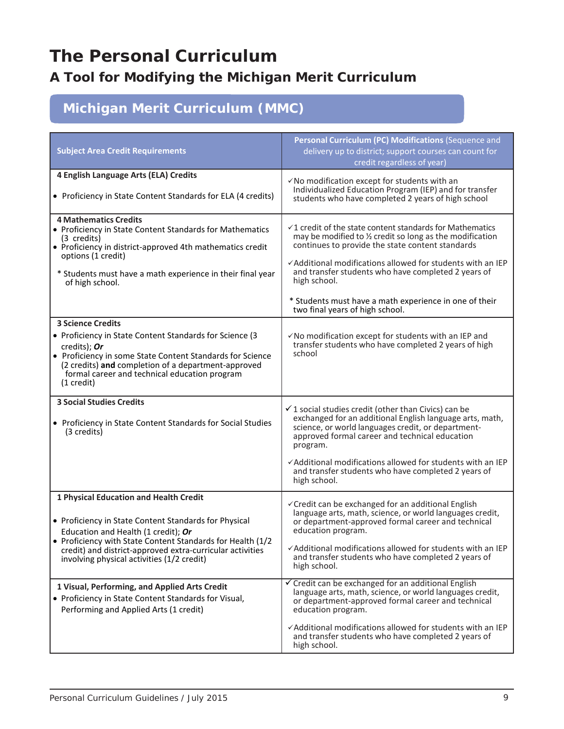## **A Tool for Modifying the Michigan Merit Curriculum**

## **Michigan Merit Curriculum (MMC)**

| <b>Subject Area Credit Requirements</b>                                                                                                                                                                                                                                                                         | Personal Curriculum (PC) Modifications (Sequence and<br>delivery up to district; support courses can count for<br>credit regardless of year)                                                                                                                                                                                                                                                                             |
|-----------------------------------------------------------------------------------------------------------------------------------------------------------------------------------------------------------------------------------------------------------------------------------------------------------------|--------------------------------------------------------------------------------------------------------------------------------------------------------------------------------------------------------------------------------------------------------------------------------------------------------------------------------------------------------------------------------------------------------------------------|
| 4 English Language Arts (ELA) Credits<br>• Proficiency in State Content Standards for ELA (4 credits)                                                                                                                                                                                                           | √No modification except for students with an<br>Individualized Education Program (IEP) and for transfer<br>students who have completed 2 years of high school                                                                                                                                                                                                                                                            |
| <b>4 Mathematics Credits</b><br>• Proficiency in State Content Standards for Mathematics<br>(3 credits)<br>• Proficiency in district-approved 4th mathematics credit<br>options (1 credit)<br>* Students must have a math experience in their final year<br>of high school.                                     | $\checkmark$ 1 credit of the state content standards for Mathematics<br>may be modified to 1/2 credit so long as the modification<br>continues to provide the state content standards<br>✓ Additional modifications allowed for students with an IEP<br>and transfer students who have completed 2 years of<br>high school.<br>* Students must have a math experience in one of their<br>two final years of high school. |
| <b>3 Science Credits</b><br>• Proficiency in State Content Standards for Science (3<br>credits); Or<br>• Proficiency in some State Content Standards for Science<br>(2 credits) and completion of a department-approved<br>formal career and technical education program<br>$(1 \text{ credit})$                | √No modification except for students with an IEP and<br>transfer students who have completed 2 years of high<br>school                                                                                                                                                                                                                                                                                                   |
| <b>3 Social Studies Credits</b><br>• Proficiency in State Content Standards for Social Studies<br>(3 credits)                                                                                                                                                                                                   | $\checkmark$ 1 social studies credit (other than Civics) can be<br>exchanged for an additional English language arts, math,<br>science, or world languages credit, or department-<br>approved formal career and technical education<br>program.<br>√Additional modifications allowed for students with an IEP<br>and transfer students who have completed 2 years of<br>high school.                                     |
| 1 Physical Education and Health Credit<br>• Proficiency in State Content Standards for Physical<br>Education and Health (1 credit); Or<br>• Proficiency with State Content Standards for Health (1/2<br>credit) and district-approved extra-curricular activities<br>involving physical activities (1/2 credit) | √Credit can be exchanged for an additional English<br>language arts, math, science, or world languages credit,<br>or department-approved formal career and technical<br>education program.<br>√Additional modifications allowed for students with an IEP<br>and transfer students who have completed 2 years of<br>high school.                                                                                          |
| 1 Visual, Performing, and Applied Arts Credit<br>• Proficiency in State Content Standards for Visual,<br>Performing and Applied Arts (1 credit)                                                                                                                                                                 | √ Credit can be exchanged for an additional English<br>language arts, math, science, or world languages credit,<br>or department-approved formal career and technical<br>education program.<br>√Additional modifications allowed for students with an IEP<br>and transfer students who have completed 2 years of<br>high school.                                                                                         |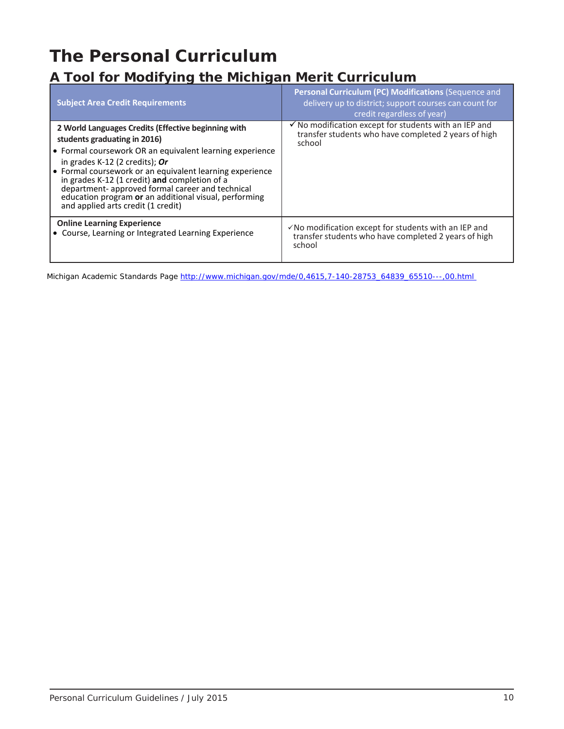## **A Tool for Modifying the Michigan Merit Curriculum**

| <b>Subject Area Credit Requirements</b>                                                                                                                                                                                                                                                                                                                                                                                                             | Personal Curriculum (PC) Modifications (Sequence and<br>delivery up to district; support courses can count for<br>credit regardless of year) |
|-----------------------------------------------------------------------------------------------------------------------------------------------------------------------------------------------------------------------------------------------------------------------------------------------------------------------------------------------------------------------------------------------------------------------------------------------------|----------------------------------------------------------------------------------------------------------------------------------------------|
| 2 World Languages Credits (Effective beginning with<br>students graduating in 2016)<br>• Formal coursework OR an equivalent learning experience<br>in grades $K-12$ (2 credits); Or<br>↓ Formal coursework or an equivalent learning experience<br>in grades K-12 (1 credit) and completion of a<br>department- approved formal career and technical<br>education program or an additional visual, performing<br>and applied arts credit (1 credit) | $\checkmark$ No modification except for students with an IEP and<br>transfer students who have completed 2 years of high<br>school           |
| <b>Online Learning Experience</b><br>• Course, Learning or Integrated Learning Experience                                                                                                                                                                                                                                                                                                                                                           | $\checkmark$ No modification except for students with an IEP and<br>transfer students who have completed 2 years of high<br>school           |

Michigan Academic Standards Page [http://www.michigan.gov/mde/0,4615,7-140-28753\\_64839\\_65510---,00.html](http://www.michigan.gov/mde/0,4615,7-140-28753_64839_65510---,00.html)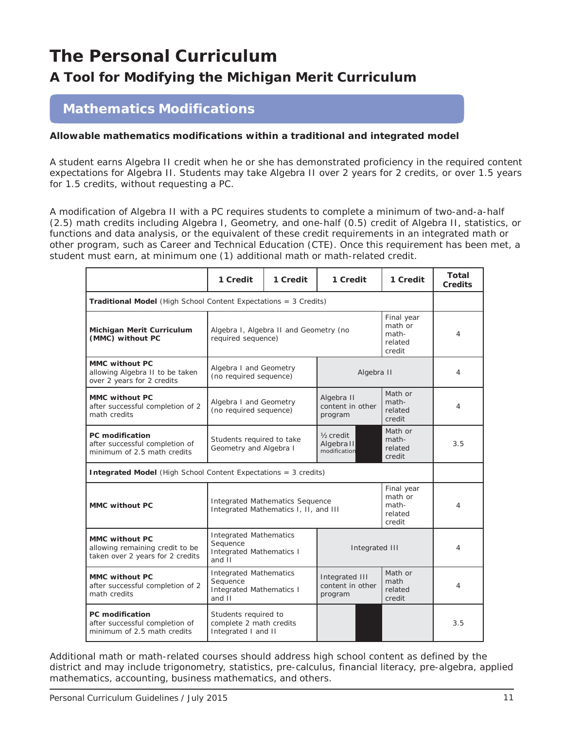## **A Tool for Modifying the Michigan Merit Curriculum**

## **Mathematics Modifications**

### **Allowable mathematics modifications within a traditional and integrated model**

A student earns Algebra II credit when he or she has demonstrated proficiency in the required content expectations for Algebra II. Students may take Algebra II over 2 years for 2 credits, or over 1.5 years for 1.5 credits, without requesting a PC.

A modification of Algebra II with a PC requires students to complete a minimum of two-and-a-half (2.5) math credits including Algebra I, Geometry, and one-half (0.5) credit of Algebra II, statistics, or functions and data analysis, or the equivalent of these credit requirements in an integrated math or other program, such as Career and Technical Education (CTE). Once this requirement has been met, a student must earn, at minimum one (1) additional math or math-related credit.

|                                                                                              | 1 Credit                                                                                                                        | 1 Credit                                           | 1 Credit                                            |                                       | 1 Credit                              | Total<br><b>Credits</b> |  |  |
|----------------------------------------------------------------------------------------------|---------------------------------------------------------------------------------------------------------------------------------|----------------------------------------------------|-----------------------------------------------------|---------------------------------------|---------------------------------------|-------------------------|--|--|
| <b>Traditional Model</b> (High School Content Expectations = 3 Credits)                      |                                                                                                                                 |                                                    |                                                     |                                       |                                       |                         |  |  |
| Michigan Merit Curriculum<br>(MMC) without PC                                                | Algebra I, Algebra II and Geometry (no<br>required sequence)                                                                    |                                                    | Final year<br>math or<br>math-<br>related<br>credit | 4                                     |                                       |                         |  |  |
| <b>MMC without PC</b><br>allowing Algebra II to be taken<br>over 2 years for 2 credits       | Algebra I and Geometry<br>(no required sequence)                                                                                |                                                    | Algebra II                                          |                                       | 4                                     |                         |  |  |
| <b>MMC without PC</b><br>after successful completion of 2<br>math credits                    | Algebra I and Geometry<br>(no required sequence)                                                                                |                                                    | Algebra II<br>content in other<br>program           |                                       | Math or<br>math-<br>related<br>credit | 4                       |  |  |
| <b>PC</b> modification<br>after successful completion of<br>minimum of 2.5 math credits      | Students required to take<br>Geometry and Algebra I                                                                             | $\frac{1}{2}$ credit<br>Algebra II<br>modification |                                                     | Math or<br>math-<br>related<br>credit | 3.5                                   |                         |  |  |
| <b>Integrated Model</b> (High School Content Expectations = 3 credits)                       |                                                                                                                                 |                                                    |                                                     |                                       |                                       |                         |  |  |
| <b>MMC without PC</b>                                                                        | Final year<br>math or<br>Integrated Mathematics Sequence<br>math-<br>Integrated Mathematics I, II, and III<br>related<br>credit |                                                    |                                                     |                                       |                                       | 4                       |  |  |
| <b>MMC without PC</b><br>allowing remaining credit to be<br>taken over 2 years for 2 credits | <b>Integrated Mathematics</b><br>Sequence<br>Integrated III<br><b>Integrated Mathematics I</b><br>and II                        |                                                    |                                                     |                                       |                                       | 4                       |  |  |
| <b>MMC without PC</b><br>after successful completion of 2<br>math credits                    | <b>Integrated Mathematics</b><br>Sequence<br><b>Integrated Mathematics I</b><br>and II                                          |                                                    | Integrated III<br>content in other<br>program       |                                       | Math or<br>math<br>related<br>credit  | 4                       |  |  |
| PC modification<br>after successful completion of<br>minimum of 2.5 math credits             | Students required to<br>complete 2 math credits<br>Integrated I and II                                                          |                                                    |                                                     |                                       |                                       | 3.5                     |  |  |

Additional math or math-related courses should address high school content as defined by the district and may include trigonometry, statistics, pre-calculus, financial literacy, pre-algebra, applied mathematics, accounting, business mathematics, and others.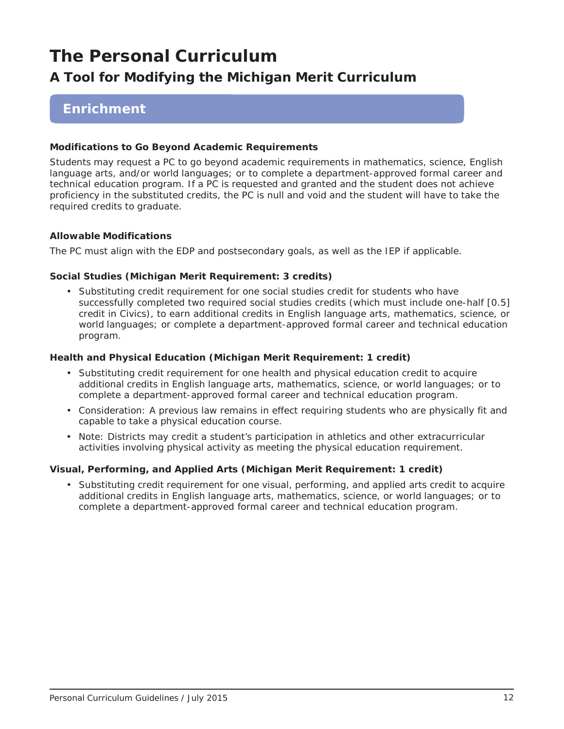## **A Tool for Modifying the Michigan Merit Curriculum**

### **Enrichment**

### **Modifications to Go Beyond Academic Requirements**

Students may request a PC to go beyond academic requirements in mathematics, science, English language arts, and/or world languages; or to complete a department-approved formal career and technical education program. If a PC is requested and granted and the student does not achieve proficiency in the substituted credits, the PC is null and void and the student will have to take the required credits to graduate.

### **Allowable Modifications**

The PC must align with the EDP and postsecondary goals, as well as the IEP if applicable.

### *Social Studies (Michigan Merit Requirement: 3 credits)*

• Substituting credit requirement for one social studies credit for students who have successfully completed two required social studies credits (which must include one-half [0.5] credit in Civics), to earn additional credits in English language arts, mathematics, science, or world languages; or complete a department-approved formal career and technical education program.

### *Health and Physical Education (Michigan Merit Requirement: 1 credit)*

- Substituting credit requirement for one health and physical education credit to acquire additional credits in English language arts, mathematics, science, or world languages; or to complete a department-approved formal career and technical education program.
- Consideration: A previous law remains in effect requiring students who are physically fit and capable to take a physical education course.
- Note: Districts may credit a student's participation in athletics and other extracurricular activities involving physical activity as meeting the physical education requirement.

### *Visual, Performing, and Applied Arts (Michigan Merit Requirement: 1 credit)*

• Substituting credit requirement for one visual, performing, and applied arts credit to acquire additional credits in English language arts, mathematics, science, or world languages; or to complete a department-approved formal career and technical education program.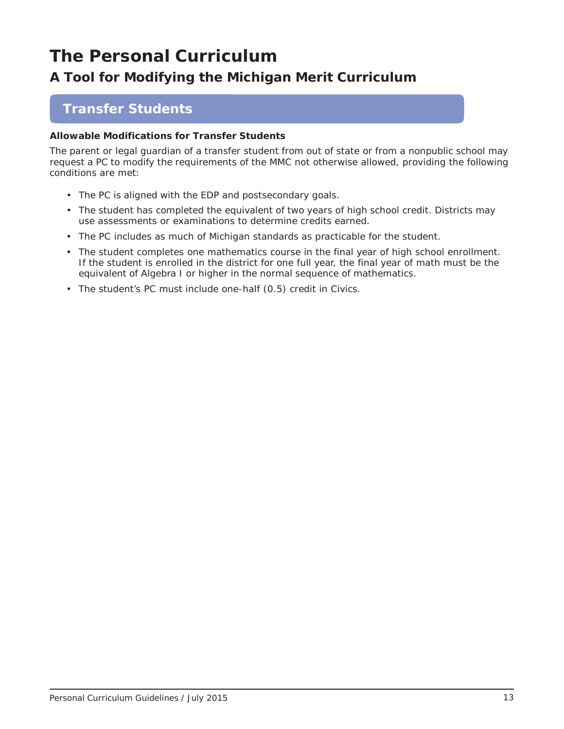## **A Tool for Modifying the Michigan Merit Curriculum**

### **Transfer Students**

### **Allowable Modifications for Transfer Students**

The parent or legal guardian of a transfer student from out of state or from a nonpublic school may request a PC to modify the requirements of the MMC not otherwise allowed, providing the following conditions are met:

- The PC is aligned with the EDP and postsecondary goals.
- The student has completed the equivalent of two years of high school credit. Districts may use assessments or examinations to determine credits earned.
- The PC includes as much of Michigan standards as practicable for the student.
- The student completes one mathematics course in the final year of high school enrollment. If the student is enrolled in the district for one full year, the final year of math must be the equivalent of Algebra I or higher in the normal sequence of mathematics.
- The student's PC must include one-half (0.5) credit in Civics.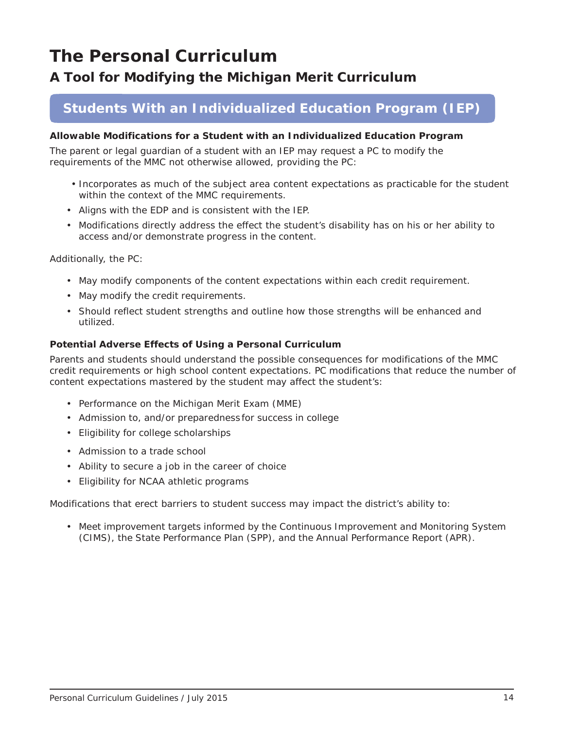## **A Tool for Modifying the Michigan Merit Curriculum**

## **Students With an Individualized Education Program (IEP)**

### **Allowable Modifications for a Student with an Individualized Education Program**

The parent or legal guardian of a student with an IEP may request a PC to modify the requirements of the MMC not otherwise allowed, providing the PC:

- Incorporates as much of the subject area content expectations as practicable for the student within the context of the MMC requirements.
- Aligns with the EDP and is consistent with the IEP.
- Modifications directly address the effect the student's disability has on his or her ability to access and/or demonstrate progress in the content.

Additionally, the PC:

- May modify components of the content expectations within each credit requirement.
- May modify the credit requirements.
- Should reflect student strengths and outline how those strengths will be enhanced and utilized.

### **Potential Adverse Effects of Using a Personal Curriculum**

Parents and students should understand the possible consequences for modifications of the MMC credit requirements or high school content expectations. PC modifications that reduce the number of content expectations mastered by the student may affect the student's:

- Performance on the Michigan Merit Exam (MME)
- Admission to, and/or preparedness for success in college
- Eligibility for college scholarships
- Admission to a trade school
- Ability to secure a job in the career of choice
- Eligibility for NCAA athletic programs

Modifications that erect barriers to student success may impact the district's ability to:

• Meet improvement targets informed by the Continuous Improvement and Monitoring System (CIMS), the State Performance Plan (SPP), and the Annual Performance Report (APR).